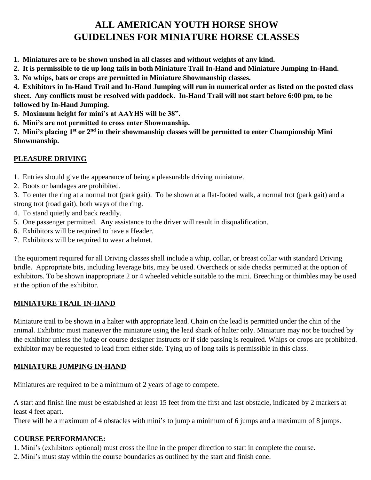# **ALL AMERICAN YOUTH HORSE SHOW GUIDELINES FOR MINIATURE HORSE CLASSES**

- **1. Miniatures are to be shown unshod in all classes and without weights of any kind.**
- **2. It is permissible to tie up long tails in both Miniature Trail In-Hand and Miniature Jumping In-Hand.**
- **3. No whips, bats or crops are permitted in Miniature Showmanship classes.**

**4. Exhibitors in In-Hand Trail and In-Hand Jumping will run in numerical order as listed on the posted class sheet. Any conflicts must be resolved with paddock. In-Hand Trail will not start before 6:00 pm, to be followed by In-Hand Jumping.**

- **5. Maximum height for mini's at AAYHS will be 38".**
- **6. Mini's are not permitted to cross enter Showmanship.**

**7. Mini's placing 1st or 2nd in their showmanship classes will be permitted to enter Championship Mini Showmanship.**

#### **PLEASURE DRIVING**

- 1. Entries should give the appearance of being a pleasurable driving miniature.
- 2. Boots or bandages are prohibited.

3. To enter the ring at a normal trot (park gait). To be shown at a flat-footed walk, a normal trot (park gait) and a strong trot (road gait), both ways of the ring.

- 4. To stand quietly and back readily.
- 5. One passenger permitted. Any assistance to the driver will result in disqualification.
- 6. Exhibitors will be required to have a Header.
- 7. Exhibitors will be required to wear a helmet.

The equipment required for all Driving classes shall include a whip, collar, or breast collar with standard Driving bridle. Appropriate bits, including leverage bits, may be used. Overcheck or side checks permitted at the option of exhibitors. To be shown inappropriate 2 or 4 wheeled vehicle suitable to the mini. Breeching or thimbles may be used at the option of the exhibitor.

#### **MINIATURE TRAIL IN-HAND**

Miniature trail to be shown in a halter with appropriate lead. Chain on the lead is permitted under the chin of the animal. Exhibitor must maneuver the miniature using the lead shank of halter only. Miniature may not be touched by the exhibitor unless the judge or course designer instructs or if side passing is required. Whips or crops are prohibited. exhibitor may be requested to lead from either side. Tying up of long tails is permissible in this class.

#### **MINIATURE JUMPING IN-HAND**

Miniatures are required to be a minimum of 2 years of age to compete.

A start and finish line must be established at least 15 feet from the first and last obstacle, indicated by 2 markers at least 4 feet apart.

There will be a maximum of 4 obstacles with mini's to jump a minimum of 6 jumps and a maximum of 8 jumps.

## **COURSE PERFORMANCE:**

1. Mini's (exhibitors optional) must cross the line in the proper direction to start in complete the course.

2. Mini's must stay within the course boundaries as outlined by the start and finish cone.